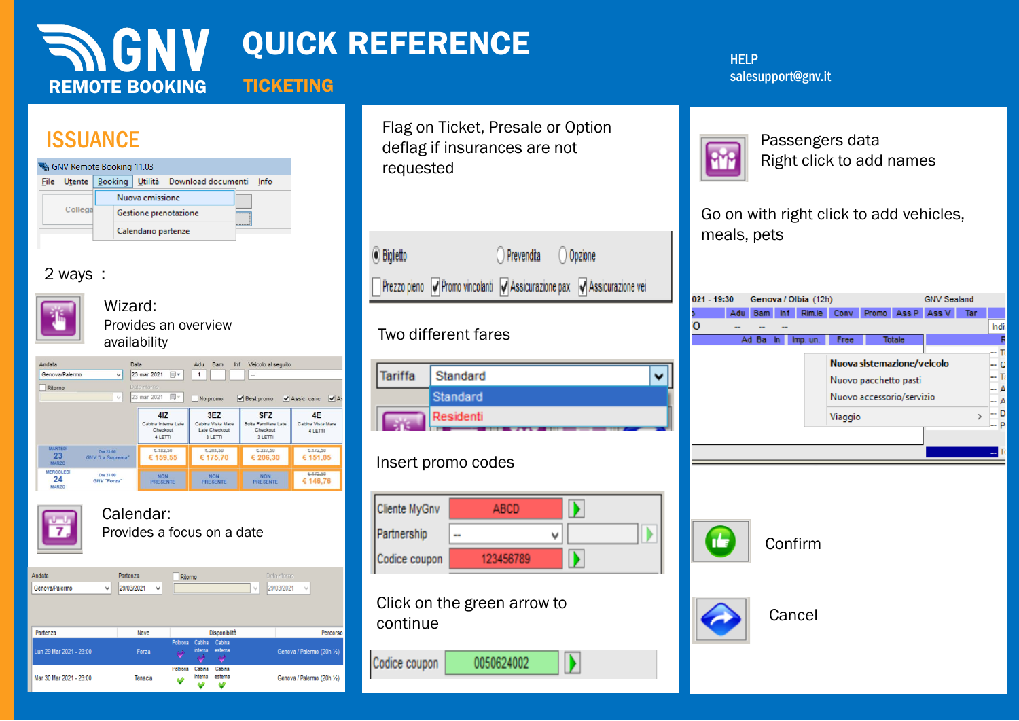| <b>INGNY</b><br><b>TICKETING</b><br><b>REMOTE BOOKING</b>                                                                                                                                                                                                                                                                                                                                                                                                                                                                                                                                                     | <b>QUICK REFERENCE</b>                                                                                                                                                                                    | <b>HELP</b><br>salesupport@gnv.it                                                                                                                                                |
|---------------------------------------------------------------------------------------------------------------------------------------------------------------------------------------------------------------------------------------------------------------------------------------------------------------------------------------------------------------------------------------------------------------------------------------------------------------------------------------------------------------------------------------------------------------------------------------------------------------|-----------------------------------------------------------------------------------------------------------------------------------------------------------------------------------------------------------|----------------------------------------------------------------------------------------------------------------------------------------------------------------------------------|
| <b>ISSUANCE</b><br>GNV Remote Booking 11.03<br>File Utente Booking Utilità Download documenti Info<br>Nuova emissione<br>Collega<br>Gestione prenotazione<br>Calendario partenze<br>2 ways:                                                                                                                                                                                                                                                                                                                                                                                                                   | Flag on Ticket, Presale or Option<br>deflag if insurances are not<br>requested<br><b>⊙</b> Biglietto<br>O Prevendita O Opzione<br>Prezzo pieno V Promo vincolanti V Assicurazione pax V Assicurazione vei | Passengers data<br>Right click to add names<br>Go on with right click to add vehicles,<br>meals, pets                                                                            |
| Wizard:<br>Provides an overview<br>availability                                                                                                                                                                                                                                                                                                                                                                                                                                                                                                                                                               | Two different fares                                                                                                                                                                                       | Genova / Olbia (12h)<br><b>GNV Sealand</b><br>021 - 19:30<br>Adu Bam Inf Rim.le Conv Promo Ass P Ass V Tar<br>o<br><b>Indiv</b><br>Ad Ba In<br><b>Totale</b><br>Imp. un.<br>Free |
| Data<br>Andata<br>Adu Bam<br>Veicolo al seguito<br>ln f<br>$\vee$ 23 mar 2021 $\blacksquare$<br>$\overline{1}$<br>Genova/Palermo<br>Data ritorn<br>Ritorno<br>$\vee$ 23 mar 2021<br>No promo<br>V Best promo V Assic. canc V As<br>41Z<br>3EZ<br><b>SFZ</b><br>4E<br>Suite Familiare Late<br>Cabina Interna Late<br>Cabina Vista Mare<br>Cabina Vista Mare<br>Checkout<br>Late Checkout<br>Checkout<br>4 LETTI<br>4 LETTI<br>3 LETTI<br>3 LETTI<br><b>MARTEDI</b><br>€ 182,50<br>£237,50<br>€ 172,50<br>€ 201,50<br>Ore 23:00<br>23<br>€ 175,70<br>€ 206,30<br>€ 151,05<br>€ 159,55<br><b>GNV "La Suprema</b> | <b>Tariffa</b><br>Standard<br>۰<br>Standard<br>Residenti                                                                                                                                                  | Nuova sistemazione/veicolo<br>Q<br>Nuovo pacchetto pasti<br>Nuovo accessorio/servizio<br>- D<br>Viaggio<br>$\rightarrow$                                                         |
| <b>MARZO</b><br><b>MERCOLEDI</b><br>€ 172,50<br>Ore 23:00<br>NON<br>PRESENTE<br>NON<br>PRESENTE<br>NON<br>PRESENTE<br>24<br>€ 146,76<br><b>GNV "Forza"</b><br><b>MARZO</b><br>Calendar:<br>Provides a focus on a date                                                                                                                                                                                                                                                                                                                                                                                         | Insert promo codes<br>y<br>Cliente MyGnv<br>ABCD<br>Partnership<br>D<br>v<br>123456789<br>Codice coupon                                                                                                   | Confirm                                                                                                                                                                          |
| Data ritorno<br>Andata<br>Partenza<br>Ritorno<br>29/03/2021<br>29/03/2021<br>Genova/Palermo<br>Disponibilità<br>Partenza<br>Nave<br>Percorso<br>Poltrona Cabina Cabina<br>Lun 29 Mar 2021 - 23:00<br>interna esterna<br>Genova / Palermo (20h 1/2)<br>Forza<br>Cabina Cabina<br>Poltrona<br>interna esterna<br>Mar 30 Mar 2021 - 23:00<br>Genova / Palermo (20h 1/2)<br>Tenacia                                                                                                                                                                                                                               | Click on the green arrow to<br>continue<br>$\mathbf{D}$<br>0050624002<br>Codice coupon                                                                                                                    | Cancel                                                                                                                                                                           |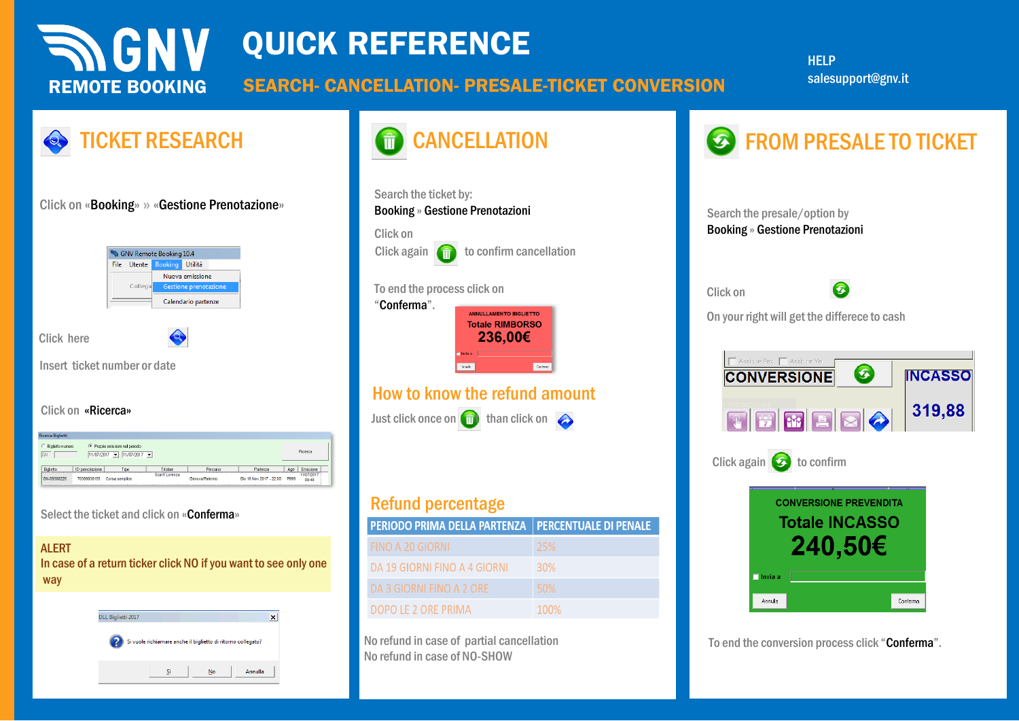#### **INGNY** QUICK REFERENCE **HELP** salesupport@gnv.itSEARCH- CANCELLATION- PRESALE-TICKET CONVERSION REMOTE BOOKING TICKET RESEARCH **CANCELLATION** CANCELLATION **CANCELLATION** Search the ticket by: Click on «Booking» **»** «Gestione Prenotazione» Booking » Gestione Prenotazioni Search the presale/option by Booking » Gestione Prenotazioni Click on Click again  $\left( \frac{1}{\prod_{i=1}^{n}}\right)$  to confirm cancellation GNV Remote Booking 10.4 Utilità File Utente

Click on

To end the conversion process click "Conferma".

**CONVERSIONE PREVENDITA Totale INCASSO** 

240,50€

Click again  $\bigcirc$  to confirm

 $\Box$  Invia a

Annulla

Assicute Pax | Assicute Vei

**CONVERSIONE** 

On your right will get the differece to cash

THERE

Q

Ø

**INCASSO** 

319,88

Conferma

Click here

**O.** 

Click on «Ricerca»

Insert ticket number or date

| Ricerca Biglietti                                                                                                  |                 |                |                |                |                         |             |                     |
|--------------------------------------------------------------------------------------------------------------------|-----------------|----------------|----------------|----------------|-------------------------|-------------|---------------------|
| C Proprie emissioni nel periodo<br>Biglietto numero<br>Ricerca<br>GN<br>11/07/2017<br>11/07/2017<br>$\blacksquare$ |                 |                |                |                |                         |             |                     |
| Biglietto                                                                                                          | ID prenotazione | Tipo           | Titolare       | Percorso       | Partenza                | Age         | Emissione           |
| GN-09380225                                                                                                        | 70389038155     | Corsa semplice | Scarfi Lorenzo | Genova/Palermo | Gio 16 Nov 2017 - 22:00 | <b>P999</b> | 11/07/2017<br>09:48 |

Nuova emissione Gestione prenotazi

Calendario partenze

Q

Select the ticket and click on «Conferma»

#### **ALERT**

In case of a return ticker click NO if you want to see only one way

| DLL Biglietti 2017 |                                                              |    |         |  |
|--------------------|--------------------------------------------------------------|----|---------|--|
|                    | Si vuole richiamare anche il biglietto di ritorno collegato? |    |         |  |
|                    |                                                              | No | Annulla |  |



## Refund percentage

| <b>PERIODO PRIMA DELLA PARTENZA   PERCENTUALE DI PENALE</b> |            |
|-------------------------------------------------------------|------------|
| FINO A 20 GIORNI                                            | -25%       |
| DA 19 GIORNI FINO A 4 GIORNI                                | <b>30%</b> |
| DA 3 GIORNI FINO A 2 ORE                                    | 50%        |
| DOPO LE 2 ORE PRIMA                                         | 100%       |

No refund in case of partial cancellation No refund in case of NO-SHOW